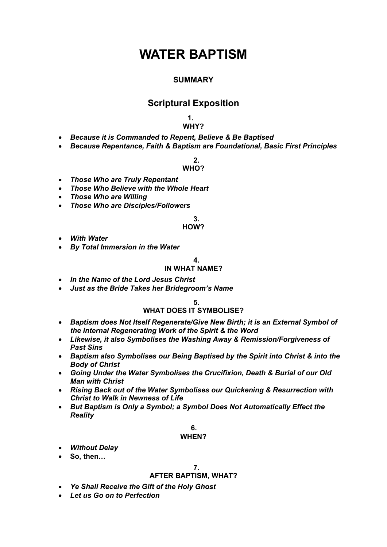# **WATER BAPTISM**

# **SUMMARY**

# **Scriptural Exposition**

# **1.**

# **WHY?**

- *Because it is Commanded to Repent, Believe & Be Baptised*
- *Because Repentance, Faith & Baptism are Foundational, Basic First Principles*

#### **2. WHO?**

- 
- *Those Who are Truly Repentant*
- *Those Who Believe with the Whole Heart*
- *Those Who are Willing*
- *Those Who are Disciples/Followers*

# **3.**

# **HOW?**

- *With Water*
- *By Total Immersion in the Water*

# **4.**

# **IN WHAT NAME?**

- *In the Name of the Lord Jesus Christ*
- *Just as the Bride Takes her Bridegroom's Name*

#### **5.**

#### **WHAT DOES IT SYMBOLISE?**

- *Baptism does Not Itself Regenerate/Give New Birth; it is an External Symbol of the Internal Regenerating Work of the Spirit & the Word*
- *Likewise, it also Symbolises the Washing Away & Remission/Forgiveness of Past Sins*
- *Baptism also Symbolises our Being Baptised by the Spirit into Christ & into the Body of Christ*
- *Going Under the Water Symbolises the Crucifixion, Death & Burial of our Old Man with Christ*
- *Rising Back out of the Water Symbolises our Quickening & Resurrection with Christ to Walk in Newness of Life*
- *But Baptism is Only a Symbol; a Symbol Does Not Automatically Effect the Reality*

#### **6. WHEN?**

# • *Without Delay*

• **So, then…**

#### **7.**

#### **AFTER BAPTISM, WHAT?**

- *Ye Shall Receive the Gift of the Holy Ghost*
- *Let us Go on to Perfection*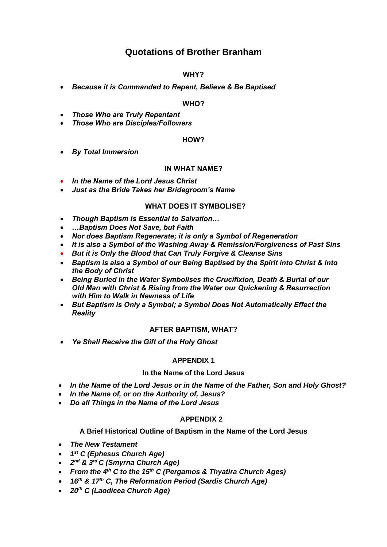# **Quotations of Brother Branham**

# **WHY?**

• *Because it is Commanded to Repent, Believe & Be Baptised*

#### **WHO?**

- *Those Who are Truly Repentant*
- *Those Who are Disciples/Followers*

#### **HOW?**

• *By Total Immersion*

#### **IN WHAT NAME?**

- *In the Name of the Lord Jesus Christ*
- *Just as the Bride Takes her Bridegroom's Name*

#### **WHAT DOES IT SYMBOLISE?**

- *Though Baptism is Essential to Salvation…*
- *…Baptism Does Not Save, but Faith*
- *Nor does Baptism Regenerate; it is only a Symbol of Regeneration*
- *It is also a Symbol of the Washing Away & Remission/Forgiveness of Past Sins*
- *But it is Only the Blood that Can Truly Forgive & Cleanse Sins*
- *Baptism is also a Symbol of our Being Baptised by the Spirit into Christ & into the Body of Christ*
- *Being Buried in the Water Symbolises the Crucifixion, Death & Burial of our Old Man with Christ & Rising from the Water our Quickening & Resurrection with Him to Walk in Newness of Life*
- *But Baptism is Only a Symbol; a Symbol Does Not Automatically Effect the Reality*

#### **AFTER BAPTISM, WHAT?**

• *Ye Shall Receive the Gift of the Holy Ghost*

#### **APPENDIX 1**

#### **In the Name of the Lord Jesus**

- *In the Name of the Lord Jesus or in the Name of the Father, Son and Holy Ghost?*
- *In the Name of, or on the Authority of, Jesus?*
- *Do all Things in the Name of the Lord Jesus*

#### **APPENDIX 2**

# **A Brief Historical Outline of Baptism in the Name of the Lord Jesus**

- *The New Testament*
- *1 st C (Ephesus Church Age)*
- *2 nd & 3rd C (Smyrna Church Age)*
- *From the 4th C to the 15th C (Pergamos & Thyatira Church Ages)*
- *16 th & 17th C, The Reformation Period (Sardis Church Age)*
- *20th C (Laodicea Church Age)*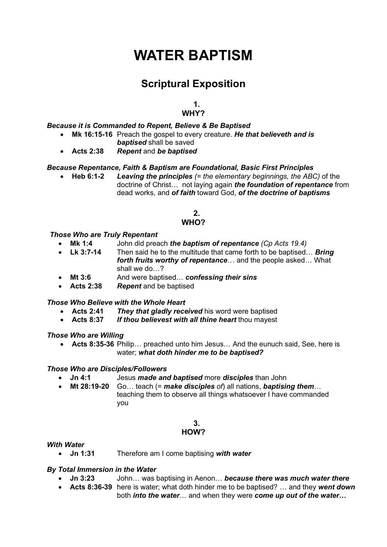# **WATER BAPTISM**

# **Scriptural Exposition**

# **1.**

# **WHY?**

#### *Because it is Commanded to Repent, Believe & Be Baptised*

- **Mk 16:15-16** Preach the gospel to every creature. *He that believeth and is baptised* shall be saved
- **Acts 2:38** *Repent* and *be baptised*

# *Because Repentance, Faith & Baptism are Foundational, Basic First Principles*

• **Heb 6:1-2** *Leaving the principles (= the elementary beginnings, the ABC)* of the doctrine of Christ… not laying again *the foundation of repentance* from dead works, and *of faith* toward God, *of the doctrine of baptisms*

#### **2. WHO?**

#### *Those Who are Truly Repentant*

- **Mk 1:4** John did preach *the baptism of repentance (Cp Acts 19.4)*
- **Lk 3:7-14** Then said he to the multitude that came forth to be baptised… *Bring forth fruits worthy of repentance*… and the people asked… What shall we do…?
- **Mt 3:6** And were baptised… *confessing their sins*
- **Acts 2:38** *Repent* and be baptised

#### *Those Who Believe with the Whole Heart*

- **Acts 2:41** *They that gladly received* his word were baptised
- **Acts 8:37** *If thou believest with all thine heart* thou mayest

#### *Those Who are Willing*

• **Acts 8:35-36** Philip… preached unto him Jesus… And the eunuch said, See, here is water; *what doth hinder me to be baptised?*

#### *Those Who are Disciples/Followers*

- **Jn 4:1** Jesus *made and baptised* more *disciples* than John
- **Mt 28:19-20** Go… teach (= *make disciples of*) all nations, *baptising them*… teaching them to observe all things whatsoever I have commanded you

#### **3. HOW?**

#### *With Water*

• **Jn 1:31** Therefore am I come baptising *with water*

#### *By Total Immersion in the Water*

- **Jn 3:23** John… was baptising in Aenon… *because there was much water there*
- **Acts 8:36-39** here is water; what doth hinder me to be baptised? … and they *went down*  both *into the water*… and when they were *come up out of the water…*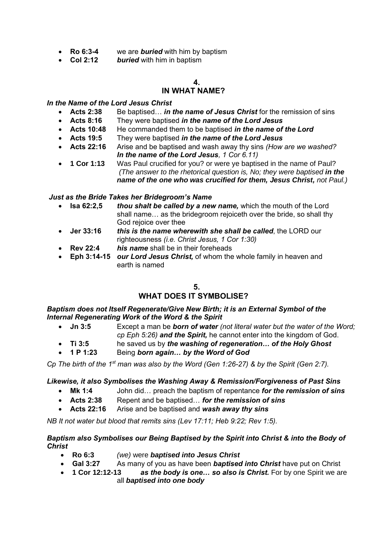- **Ro 6:3-4** we are *buried* with him by baptism
- **Col 2:12** *buried* with him in baptism

# **4.**

# **IN WHAT NAME?**

#### *In the Name of the Lord Jesus Christ*

- **Acts 2:38** Be baptised… *in the name of Jesus Christ* for the remission of sins
- **Acts 8:16** They were baptised *in the name of the Lord Jesus*
- **Acts 10:48** He commanded them to be baptised *in the name of the Lord*
- **Acts 19:5** They were baptised *in the name of the Lord Jesus*
- **Acts 22:16** Arise and be baptised and wash away thy sins *(How are we washed? In the name of the Lord Jesus, 1 Cor 6.11)*
- **1 Cor 1:13** Was Paul crucified for you? or were ye baptised in the name of Paul? *(The answer to the rhetorical question is, No; they were baptised in the name of the one who was crucified for them, Jesus Christ, not Paul.)*

#### *Just as the Bride Takes her Bridegroom's Name*

- **Isa 62:2,5** *thou shalt be called by a new name,* which the mouth of the Lord shall name… as the bridegroom rejoiceth over the bride, so shall thy God rejoice over thee
- **Jer 33:16** *this is the name wherewith she shall be called*, the LORD our righteousness *(i.e. Christ Jesus, 1 Cor 1:30)*
- **Rev 22:4** *his name* shall be in their foreheads
- **Eph 3:14-15** *our Lord Jesus Christ,* of whom the whole family in heaven and earth is named

# **5.**

# **WHAT DOES IT SYMBOLISE?**

#### *Baptism does not Itself Regenerate/Give New Birth; it is an External Symbol of the Internal Regenerating Work of the Word & the Spirit*

- **Jn 3:5** Except a man be *born of water (not literal water but the water of the Word; cp Eph 5:26) and the Spirit,* he cannot enter into the kingdom of God.
- **Ti 3:5** he saved us by *the washing of regeneration… of the Holy Ghost*
- **1 P 1:23** Being *born again… by the Word of God*

*Cp The birth of the 1st man was also by the Word (Gen 1:26-27) & by the Spirit (Gen 2:7).*

#### *Likewise, it also Symbolises the Washing Away & Remission/Forgiveness of Past Sins*

- **Mk 1:4** John did… preach the baptism of repentance *for the remission of sins*
- **Acts 2:38** Repent and be baptised… *for the remission of sins*
- **Acts 22:16** Arise and be baptised and *wash away thy sins*

*NB It not water but blood that remits sins (Lev 17:11; Heb 9:22; Rev 1:5).*

#### *Baptism also Symbolises our Being Baptised by the Spirit into Christ & into the Body of Christ*

- **Ro 6:3** *(we)* were *baptised into Jesus Christ*
- **Gal 3:27** As many of you as have been *baptised into Christ* have put on Christ
- **1 Cor 12:12-13** *as the body is one… so also is Christ.* For by one Spirit we are all *baptised into one body*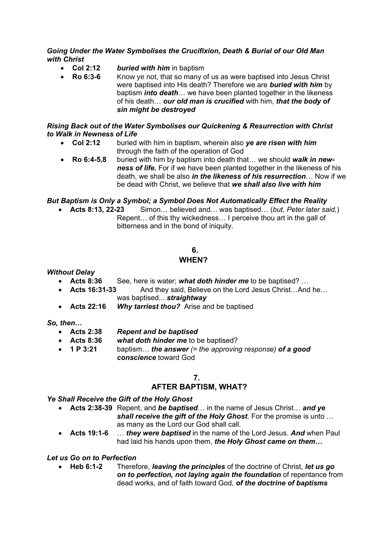#### *Going Under the Water Symbolises the Crucifixion, Death & Burial of our Old Man with Christ*

- **Col 2:12** *buried with him* in baptism
- **Ro 6:3-6** Know ye not, that so many of us as were baptised into Jesus Christ were baptised into His death? Therefore we are *buried with him* by baptism *into death*… we have been planted together in the likeness of his death… *our old man is crucified* with him, *that the body of sin might be destroyed*

#### *Rising Back out of the Water Symbolises our Quickening & Resurrection with Christ to Walk in Newness of Life*

- **Col 2:12** buried with him in baptism, wherein also *ye are risen with him* through the faith of the operation of God
- **Ro 6:4-5,8** buried with him by baptism into death that… we should *walk in new***ness of life.** For if we have been planted together in the likeness of his death, we shall be also *in the likeness of his resurrection*… Now if we be dead with Christ, we believe that *we shall also live with him*

# *But Baptism is Only a Symbol; a Symbol Does Not Automatically Effect the Reality*

• **Acts 8:13, 22-23** Simon… believed and… was baptised… (*but, Peter later said,*) Repent… of this thy wickedness… I perceive thou art in the gall of bitterness and in the bond of iniquity.

# **6.**

# **WHEN?**

### *Without Delay*

- **Acts 8:36** See, here is water; *what doth hinder me* to be baptised? …
- **Acts 16:31-33** And they said, Believe on the Lord Jesus Christ…And he… was baptised... *straightway*
- **Acts 22:16** *Why tarriest thou?* Arise and be baptised

#### *So, then…*

- **Acts 2:38** *Repent and be baptised*
- **Acts 8:36** *what doth hinder me* to be baptised?
- **1 P 3:21** baptism… *the answer (= the approving response) of a good conscience* toward God

#### **7. AFTER BAPTISM, WHAT?**

*Ye Shall Receive the Gift of the Holy Ghost*

- **Acts 2:38-39** Repent, and *be baptised*… in the name of Jesus Christ… *and ye shall receive the gift of the Holy Ghost*. For the promise is unto … as many as the Lord our God shall call.
- **Acts 19:1-6** … *they were baptised* in the name of the Lord Jesus. *And* when Paul had laid his hands upon them, *the Holy Ghost came on them…*

# *Let us Go on to Perfection*

• **Heb 6:1-2** Therefore, *leaving the principles* of the doctrine of Christ, *let us go on to perfection, not laying again the foundation* of repentance from dead works, and of faith toward God, *of the doctrine of baptisms*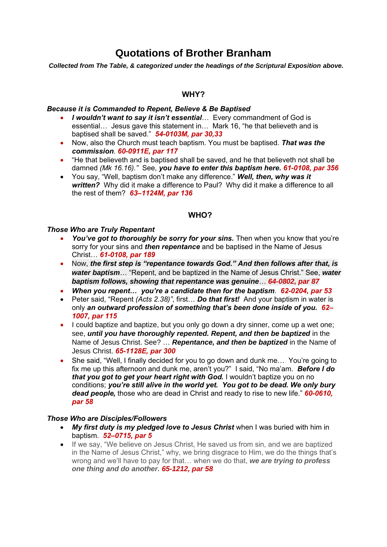# **Quotations of Brother Branham**

*Collected from The Table, & categorized under the headings of the Scriptural Exposition above.*

# **WHY?**

#### *Because it is Commanded to Repent, Believe & Be Baptised*

- *I wouldn't want to say it isn't essential*… Every commandment of God is essential… Jesus gave this statement in… Mark 16, "he that believeth and is baptised shall be saved." *54-0103M, par 30,33*
- Now, also the Church must teach baptism. You must be baptised. *That was the commission*. *60-0911E, par 117*
- "He that believeth and is baptised shall be saved, and he that believeth not shall be damned *(Mk 16.16)."* See, *you have to enter this baptism here. 61-0108, par 356*
- You say, "Well, baptism don't make any difference." *Well, then, why was it written?* Why did it make a difference to Paul? Why did it make a difference to all the rest of them? *63–1124M, par 136*

# **WHO?**

#### *Those Who are Truly Repentant*

- You've got to thoroughly be sorry for your sins. Then when you know that you're sorry for your sins and *then repentance* and be baptised in the Name of Jesus Christ… *61-0108, par 189*
- Now, *the first step is "repentance towards God." And then follows after that, is water baptism*… "Repent, and be baptized in the Name of Jesus Christ." See, *water baptism follows, showing that repentance was genuine*… *64-0802, par 87*
- *When you repent… you're a candidate then for the baptism*. *62-0204, par 53*
- Peter said, "Repent *(Acts 2.38)"*, first… *Do that first!* And your baptism in water is only *an outward profession of something that's been done inside of you. 62– 1007, par 115*
- I could baptize and baptize, but you only go down a dry sinner, come up a wet one; see, *until you have thoroughly repented. Repent, and then be baptized* in the Name of Jesus Christ. See? … *Repentance, and then be baptized* in the Name of Jesus Christ. *65-1128E, par 300*
- She said, "Well, I finally decided for you to go down and dunk me... You're going to fix me up this afternoon and dunk me, aren't you?" I said, "No ma'am. *Before I do that you got to get your heart right with God.* I wouldn't baptize you on no conditions; *you're still alive in the world yet. You got to be dead. We only bury dead people,* those who are dead in Christ and ready to rise to new life." *60-0610, par 58*

#### *Those Who are Disciples/Followers*

- *My first duty is my pledged love to Jesus Christ* when I was buried with him in baptism. *52–0715, par 5*
- If we say, "We believe on Jesus Christ, He saved us from sin, and we are baptized in the Name of Jesus Christ," why, we bring disgrace to Him, we do the things that's wrong and we'll have to pay for that… when we do that, *we are trying to profess one thing and do another. 65-1212, par 58*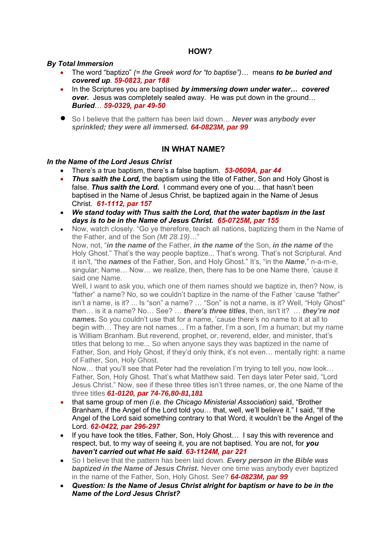# **HOW?**

#### *By Total Immersion*

- The word "baptizo" *(= the Greek word for "to baptise")*… means *to be buried and covered up*. *59-0823, par 188*
- In the Scriptures you are baptised *by immersing down under water… covered over.* Jesus was completely sealed away. He was put down in the ground… *Buried*… *59-0329, par 49-50*
- So I believe that the pattern has been laid down… *Never was anybody ever sprinkled; they were all immersed. 64-0823M, par 99*

# **IN WHAT NAME?**

#### *In the Name of the Lord Jesus Christ*

- There's a true baptism, there's a false baptism. *53-0609A, par 44*
- **Thus saith the Lord,** the baptism using the title of Father, Son and Holy Ghost is false. *Thus saith the Lord.* I command every one of you… that hasn't been baptised in the Name of Jesus Christ, be baptized again in the Name of Jesus Christ. *61-1112, par 157*
- *We stand today with Thus saith the Lord, that the water baptism in the last days is to be in the Name of Jesus Christ. 65-0725M, par 155*
- Now, watch closely. "Go ye therefore, teach all nations, baptizing them in the Name of the Father, and of the Son *(Mt 28.19)*…" Now, not, "*in the name of* the Father, *in the name of* the Son, *in the name of* the

Holy Ghost." That's the way people baptize... That's wrong. That's not Scriptural. And it isn't, "the *names* of the Father, Son, and Holy Ghost." It's, "in the *Name*," n-a-m-e, singular; Name… Now… we realize, then, there has to be one Name there, 'cause it said one Name.

Well, I want to ask you, which one of them names should we baptize in, then? Now, is "father" a name? No, so we couldn't baptize in the name of the Father 'cause "father" isn't a name, is it? ... Is "son" a name? … "Son" is not a name, is it? Well, "Holy Ghost" then… is it a name? No… See? … *there's three titles*, then, isn't it? … *they're not names.* So you couldn't use that for a name, 'cause there's no name to it at all to begin with… They are not names… I'm a father, I'm a son, I'm a human; but my name is William Branham. But reverend, prophet, or, reverend, elder, and minister, that's titles that belong to me... So when anyone says they was baptized in the name of Father, Son, and Holy Ghost, if they'd only think, it's not even… mentally right: a name of Father, Son, Holy Ghost.

Now… that you'll see that Peter had the revelation I'm trying to tell you, now look… Father, Son, Holy Ghost. That's what Matthew said. Ten days later Peter said, "Lord Jesus Christ." Now, see if these three titles isn't three names, or, the one Name of the three titles *61-0120, par 74-76,80-81,181*

- that same group of men *(i.e. the Chicago Ministerial Association)* said, "Brother Branham, if the Angel of the Lord told you… that, well, we'll believe it." I said, "If the Angel of the Lord said something contrary to that Word, it wouldn't be the Angel of the Lord. *62-0422, par 296-297*
- If you have took the titles, Father, Son, Holy Ghost… I say this with reverence and respect, but, to my way of seeing it, you are not baptised. You are not, for *you haven't carried out what He said*. *63-1124M, par 221*
- So I believe that the pattern has been laid down. *Every person in the Bible was baptized in the Name of Jesus Christ.* Never one time was anybody ever baptized in the name of the Father, Son, Holy Ghost. See? *64-0823M, par 99*
- *Question: Is the Name of Jesus Christ alright for baptism or have to be in the Name of the Lord Jesus Christ?*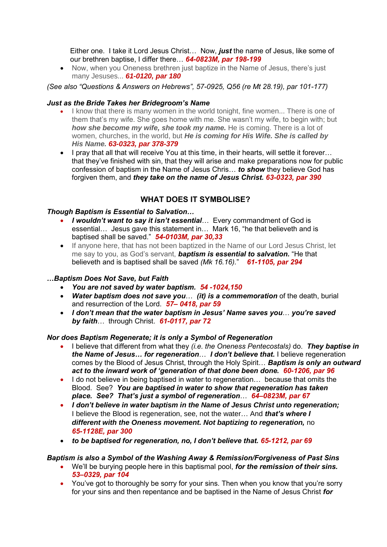Either one. I take it Lord Jesus Christ… Now, *just* the name of Jesus, like some of our brethren baptise, I differ there… *64-0823M, par 198-199*

• Now, when you Oneness brethren just baptize in the Name of Jesus, there's just many Jesuses... *61-0120, par 180*

*(See also "Questions & Answers on Hebrews", 57-0925, Q56 (re Mt 28.19), par 101-177)*

#### *Just as the Bride Takes her Bridegroom's Name*

- I know that there is many women in the world tonight, fine women... There is one of them that's my wife. She goes home with me. She wasn't my wife, to begin with; but *how she become my wife, she took my name.* He is coming. There is a lot of women, churches, in the world, but *He is coming for His Wife. She is called by His Name. 63-0323, par 378-379*
- I pray that all that will receive You at this time, in their hearts, will settle it forever... that they've finished with sin, that they will arise and make preparations now for public confession of baptism in the Name of Jesus Chris… *to show* they believe God has forgiven them, and *they take on the name of Jesus Christ. 63-0323, par 390*

# **WHAT DOES IT SYMBOLISE?**

# *Though Baptism is Essential to Salvation…*

- *I wouldn't want to say it isn't essential*… Every commandment of God is essential… Jesus gave this statement in… Mark 16, "he that believeth and is baptised shall be saved." *54-0103M, par 30,33*
- If anyone here, that has not been baptized in the Name of our Lord Jesus Christ, let me say to you, as God's servant, *baptism is essential to salvation.* "He that believeth and is baptised shall be saved *(Mk 16.16).*" *61-1105, par 294*

#### *…Baptism Does Not Save, but Faith*

- *You are not saved by water baptism. 54 -1024,150*
- *Water baptism does not save you*… *(it) is a commemoration* of the death, burial and resurrection of the Lord. *57– 0418, par 59*
- *I don't mean that the water baptism in Jesus' Name saves you*… *you're saved by faith*… through Christ. *61-0117, par 72*

#### *Nor does Baptism Regenerate; it is only a Symbol of Regeneration*

- I believe that different from what they *(i.e. the Oneness Pentecostals)* do. *They baptise in the Name of Jesus… for regeneration*… *I don't believe that.* I believe regeneration comes by the Blood of Jesus Christ, through the Holy Spirit… *Baptism is only an outward act to the inward work of 'generation of that done been done. 60-1206, par 96*
- I do not believe in being baptised in water to regeneration... because that omits the Blood. See? *You are baptised in water to show that regeneration has taken place. See? That's just a symbol of regeneration*… *64–0823M, par 67*
- *I don't believe in water baptism in the Name of Jesus Christ unto regeneration;* I believe the Blood is regeneration, see, not the water… And *that's where I different with the Oneness movement. Not baptizing to regeneration,* no *65-1128E, par 300*
- *to be baptised for regeneration, no, I don't believe that. 65-1212, par 69*

#### *Baptism is also a Symbol of the Washing Away & Remission/Forgiveness of Past Sins*

- We'll be burying people here in this baptismal pool, *for the remission of their sins. 53–0329, par 104*
- You've got to thoroughly be sorry for your sins. Then when you know that you're sorry for your sins and then repentance and be baptised in the Name of Jesus Christ *for*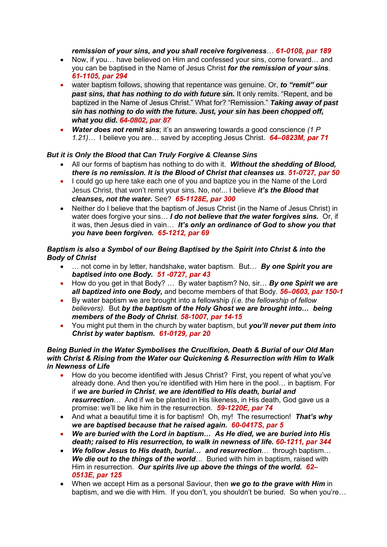#### *remission of your sins, and you shall receive forgiveness*… *61-0108, par 189*

- Now, if you… have believed on Him and confessed your sins, come forward… and you can be baptised in the Name of Jesus Christ *for the remission of your sins*. *61-1105, par 294*
- water baptism follows, showing that repentance was genuine. Or, *to "remit" our past sins, that has nothing to do with future sin.* It only remits. "Repent, and be baptized in the Name of Jesus Christ." What for? "Remission." *Taking away of past sin has nothing to do with the future. Just, your sin has been chopped off, what you did. 64-0802, par 87*
- *Water does not remit sins*; it's an answering towards a good conscience *(1 P 1.21)…* I believe you are… saved by accepting Jesus Christ. *64–0823M, par 71*

#### *But it is Only the Blood that Can Truly Forgive & Cleanse Sins*

- All our forms of baptism has nothing to do with it. *Without the shedding of Blood, there is no remission. It is the Blood of Christ that cleanses us*. *51-0727, par 50*
- I could go up here take each one of you and baptize you in the Name of the Lord Jesus Christ, that won't remit your sins. No, no!... I believe *it's the Blood that cleanses, not the water.* See? *65-1128E, par 300*
- Neither do I believe that the baptism of Jesus Christ (in the Name of Jesus Christ) in water does forgive your sins… *I do not believe that the water forgives sins.* Or, if it was, then Jesus died in vain… *It's only an ordinance of God to show you that you have been forgiven. 65-1212, par 69*

#### *Baptism is also a Symbol of our Being Baptised by the Spirit into Christ & into the Body of Christ*

- … not come in by letter, handshake, water baptism. But… *By one Spirit you are baptised into one Body. 51 -0727, par 43*
- How do you get in that Body? … By water baptism? No, sir… *By one Spirit we are all baptized into one Body,* and become members of that Body. *56–0603, par 150-1*
- By water baptism we are brought into a fellowship *(i.e. the fellowship of fellow believers).* But *by the baptism of the Holy Ghost we are brought into… being members of the Body of Christ*. *58-1007, par 14-15*
- You might put them in the church by water baptism, but *you'll never put them into Christ by water baptism. 61-0129, par 20*

#### *Being Buried in the Water Symbolises the Crucifixion, Death & Burial of our Old Man with Christ & Rising from the Water our Quickening & Resurrection with Him to Walk in Newness of Life*

- How do you become identified with Jesus Christ? First, you repent of what you've already done. And then you're identified with Him here in the pool… in baptism. For if *we are buried in Christ*, *we are identified to His death, burial and resurrection*… And if we be planted in His likeness, in His death, God gave us a promise: we'll be like him in the resurrection. *59-1220E, par 74*
- And what a beautiful time it is for baptism! Oh, my! The resurrection! *That's why we are baptised because that he raised again. 60-0417S, par 5*
- *We are buried with the Lord in baptism… As He died, we are buried into His death; raised to His resurrection, to walk in newness of life. 60-1211, par 344*
- *We follow Jesus to His death, burial… and resurrection*… through baptism… *We die out to the things of the world*… Buried with him in baptism, raised with Him in resurrection. *Our spirits live up above the things of the world. 62– 0513E, par 125*
- When we accept Him as a personal Saviour, then *we go to the grave with Him* in baptism, and we die with Him. If you don't, you shouldn't be buried. So when you're…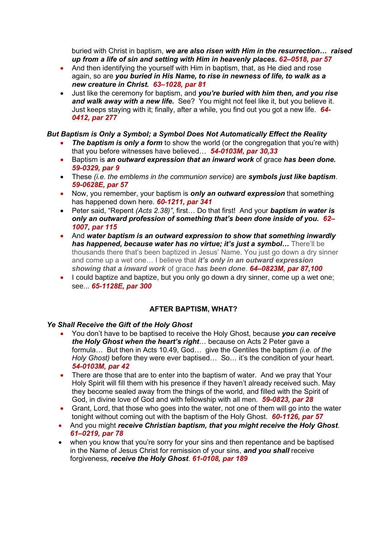buried with Christ in baptism, *we are also risen with Him in the resurrection… raised up from a life of sin and setting with Him in heavenly places. 62–0518, par 57*

- And then identifying the yourself with Him in baptism, that, as He died and rose again, so are *you buried in His Name, to rise in newness of life, to walk as a new creature in Christ. 63–1028, par 81*
- Just like the ceremony for baptism, and *you're buried with him then, and you rise and walk away with a new life.* See? You might not feel like it, but you believe it. Just keeps staying with it; finally, after a while, you find out you got a new life. *64- 0412, par 277*

### *But Baptism is Only a Symbol; a Symbol Does Not Automatically Effect the Reality*

- **The baptism is only a form** to show the world (or the congregation that you're with) that you before witnesses have believed… *54-0103M, par 30,33*
- Baptism is *an outward expression that an inward work* of grace *has been done. 59-0329, par 9*
- These *(i.e. the emblems in the communion service)* are *symbols just like baptism*. *59-0628E, par 57*
- Now, you remember, your baptism is *only an outward expression* that something has happened down here. *60-1211, par 341*
- Peter said, "Repent *(Acts 2.38)"*, first… Do that first! And your *baptism in water is only an outward profession of something that's been done inside of you. 62– 1007, par 115*
- And *water baptism is an outward expression to show that something inwardly has happened, because water has no virtue; it's just a symbol…* There'll be thousands there that's been baptized in Jesus' Name. You just go down a dry sinner and come up a wet one… I believe that *it's only in an outward expression showing that a inward work* of grace *has been done*. *64–0823M, par 87,100*
- I could baptize and baptize, but you only go down a dry sinner, come up a wet one; see... *65-1128E, par 300*

# **AFTER BAPTISM, WHAT?**

#### *Ye Shall Receive the Gift of the Holy Ghost*

- You don't have to be baptised to receive the Holy Ghost, because *you can receive the Holy Ghost when the heart's right*… because on Acts 2 Peter gave a formula… But then in Acts 10.49, God… give the Gentiles the baptism *(i.e. of the Holy Ghost)* before they were ever baptised… So… it's the condition of your heart. *54-0103M, par 42*
- There are those that are to enter into the baptism of water. And we pray that Your Holy Spirit will fill them with his presence if they haven't already received such. May they become sealed away from the things of the world, and filled with the Spirit of God, in divine love of God and with fellowship with all men. *59-0823, par 28*
- Grant, Lord, that those who goes into the water, not one of them will go into the water tonight without coming out with the baptism of the Holy Ghost. *60-1126, par 57*
- And you might *receive Christian baptism, that you might receive the Holy Ghost*. *61–0219, par 78*
- when you know that you're sorry for your sins and then repentance and be baptised in the Name of Jesus Christ for remission of your sins, *and you shall* receive forgiveness, *receive the Holy Ghost*. *61-0108, par 189*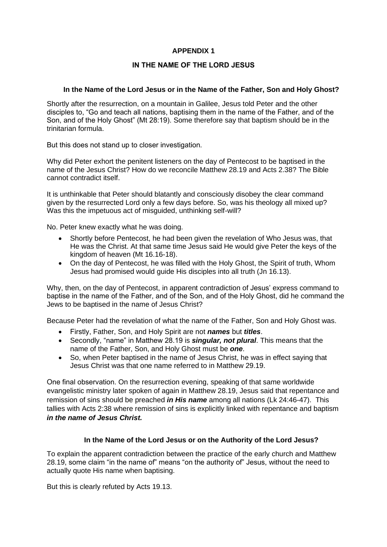# **APPENDIX 1**

#### **IN THE NAME OF THE LORD JESUS**

#### **In the Name of the Lord Jesus or in the Name of the Father, Son and Holy Ghost?**

Shortly after the resurrection, on a mountain in Galilee, Jesus told Peter and the other disciples to, "Go and teach all nations, baptising them in the name of the Father, and of the Son, and of the Holy Ghost" (Mt 28:19). Some therefore say that baptism should be in the trinitarian formula.

But this does not stand up to closer investigation.

Why did Peter exhort the penitent listeners on the day of Pentecost to be baptised in the name of the Jesus Christ? How do we reconcile Matthew 28.19 and Acts 2.38? The Bible cannot contradict itself.

It is unthinkable that Peter should blatantly and consciously disobey the clear command given by the resurrected Lord only a few days before. So, was his theology all mixed up? Was this the impetuous act of misguided, unthinking self-will?

No. Peter knew exactly what he was doing.

- Shortly before Pentecost, he had been given the revelation of Who Jesus was, that He was the Christ. At that same time Jesus said He would give Peter the keys of the kingdom of heaven (Mt 16.16-18).
- On the day of Pentecost, he was filled with the Holy Ghost, the Spirit of truth, Whom Jesus had promised would guide His disciples into all truth (Jn 16.13).

Why, then, on the day of Pentecost, in apparent contradiction of Jesus' express command to baptise in the name of the Father, and of the Son, and of the Holy Ghost, did he command the Jews to be baptised in the name of Jesus Christ?

Because Peter had the revelation of what the name of the Father, Son and Holy Ghost was.

- Firstly, Father, Son, and Holy Spirit are not *names* but *titles*.
- Secondly, "name" in Matthew 28.19 is *singular, not plural*. This means that the name of the Father, Son, and Holy Ghost must be *one*.
- So, when Peter baptised in the name of Jesus Christ, he was in effect saying that Jesus Christ was that one name referred to in Matthew 29.19.

One final observation. On the resurrection evening, speaking of that same worldwide evangelistic ministry later spoken of again in Matthew 28.19, Jesus said that repentance and remission of sins should be preached *in His name* among all nations (Lk 24:46-47). This tallies with Acts 2:38 where remission of sins is explicitly linked with repentance and baptism *in the name of Jesus Christ.*

#### **In the Name of the Lord Jesus or on the Authority of the Lord Jesus?**

To explain the apparent contradiction between the practice of the early church and Matthew 28.19, some claim "in the name of" means "on the authority of" Jesus, without the need to actually quote His name when baptising.

But this is clearly refuted by Acts 19.13.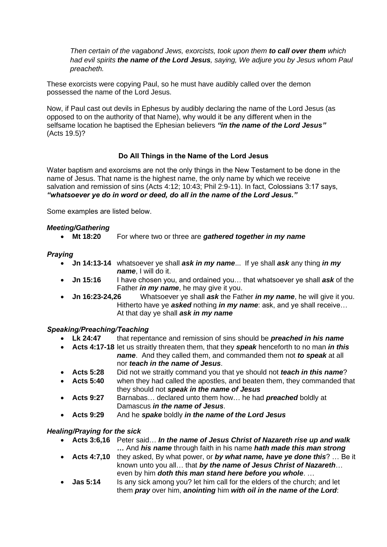*Then certain of the vagabond Jews, exorcists, took upon them to call over them which had evil spirits the name of the Lord Jesus, saying, We adjure you by Jesus whom Paul preacheth.*

These exorcists were copying Paul, so he must have audibly called over the demon possessed the name of the Lord Jesus.

Now, if Paul cast out devils in Ephesus by audibly declaring the name of the Lord Jesus (as opposed to on the authority of that Name), why would it be any different when in the selfsame location he baptised the Ephesian believers *"in the name of the Lord Jesus"* (Acts 19.5)?

# **Do All Things in the Name of the Lord Jesus**

Water baptism and exorcisms are not the only things in the New Testament to be done in the name of Jesus. That name is the highest name, the only name by which we receive salvation and remission of sins (Acts 4:12; 10:43; Phil 2:9-11). In fact, Colossians 3:17 says, *"whatsoever ye do in word or deed, do all in the name of the Lord Jesus."*

Some examples are listed below.

#### *Meeting/Gathering*

• **Mt 18:20** For where two or three are *gathered together in my name*

#### *Praying*

- **Jn 14:13-14** whatsoever ye shall *ask in my name*... If ye shall *ask* any thing *in my name*, I will do it.
- **Jn 15:16** I have chosen you, and ordained you… that whatsoever ye shall *ask* of the Father *in my name*, he may give it you.
- **Jn 16:23-24,26** Whatsoever ye shall *ask* the Father *in my name*, he will give it you. Hitherto have ye *asked* nothing *in my name*: ask, and ye shall receive… At that day ye shall *ask in my name*

#### *Speaking/Preaching/Teaching*

- **Lk 24:47** that repentance and remission of sins should be *preached in his name*
- **Acts 4:17-18** let us straitly threaten them, that they *speak* henceforth to no man *in this name*. And they called them, and commanded them not *to speak* at all nor *teach in the name of Jesus*.
- **Acts 5:28** Did not we straitly command you that ye should not *teach in this name*?
- **Acts 5:40** when they had called the apostles, and beaten them, they commanded that they should not *speak in the name of Jesus*
- **Acts 9:27** Barnabas… declared unto them how… he had *preached* boldly at Damascus *in the name of Jesus*.
- **Acts 9:29** And he *spake* boldly *in the name of the Lord Jesus*

#### *Healing/Praying for the sick*

- **Acts 3:6,16** Peter said… *In the name of Jesus Christ of Nazareth rise up and walk …* And *his name* through faith in his name *hath made this man strong*
- **Acts 4:7,10** they asked, By what power, or *by what name, have ye done this*? … Be it known unto you all… that *by the name of Jesus Christ of Nazareth*… even by him *doth this man stand here before you whole*. …
- **Jas 5:14** Is any sick among you? let him call for the elders of the church; and let them *pray* over him, *anointing* him *with oil in the name of the Lord*: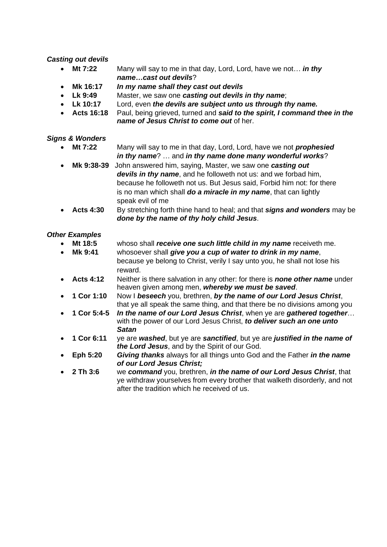# *Casting out devils*

- **Mt 7:22** Many will say to me in that day, Lord, Lord, have we not… *in thy name…cast out devils*?
- **Mk 16:17** *In my name shall they cast out devils*
- **Lk 9:49** Master, we saw one *casting out devils in thy name*;
- **Lk 10:17** Lord, even *the devils are subject unto us through thy name.*
- **Acts 16:18** Paul, being grieved, turned and *said to the spirit, I command thee in the name of Jesus Christ to come out* of her.

#### *Signs & Wonders*

- **Mt 7:22** Many will say to me in that day, Lord, Lord, have we not *prophesied in thy name*? … and *in thy name done many wonderful works*?
- **Mk 9:38-39** John answered him, saying, Master, we saw one *casting out devils in thy name*, and he followeth not us: and we forbad him, because he followeth not us. But Jesus said, Forbid him not: for there is no man which shall *do a miracle in my name*, that can lightly speak evil of me
- **Acts 4:30** By stretching forth thine hand to heal; and that *signs and wonders* may be *done by the name of thy holy child Jesus*.

#### *Other Examples*

- **Mt 18:5** whoso shall *receive one such little child in my name* receiveth me.
- **Mk 9:41** whosoever shall *give you a cup of water to drink in my name*, because ye belong to Christ, verily I say unto you, he shall not lose his reward.
- **Acts 4:12** Neither is there salvation in any other: for there is *none other name* under heaven given among men, *whereby we must be saved*.
- **1 Cor 1:10** Now I *beseech* you, brethren, *by the name of our Lord Jesus Christ*, that ye all speak the same thing, and that there be no divisions among you
- **1 Cor 5:4-5** *In the name of our Lord Jesus Christ*, when ye are *gathered together*… with the power of our Lord Jesus Christ, *to deliver such an one unto Satan*
- **1 Cor 6:11** ye are *washed*, but ye are *sanctified*, but ye are *justified in the name of the Lord Jesus*, and by the Spirit of our God.
- **Eph 5:20** *Giving thanks* always for all things unto God and the Father *in the name of our Lord Jesus Christ;*
- **2 Th 3:6** we *command* you, brethren, *in the name of our Lord Jesus Christ*, that ye withdraw yourselves from every brother that walketh disorderly, and not after the tradition which he received of us.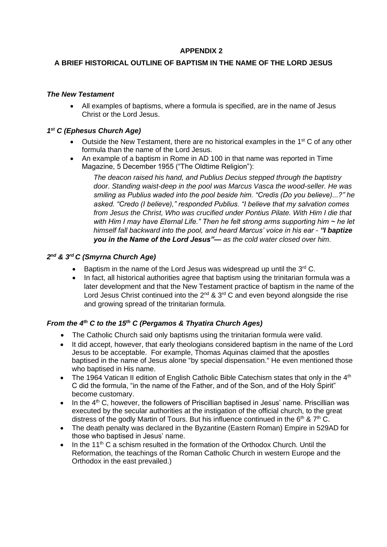# **APPENDIX 2**

# **A BRIEF HISTORICAL OUTLINE OF BAPTISM IN THE NAME OF THE LORD JESUS**

### *The New Testament*

• All examples of baptisms, where a formula is specified, are in the name of Jesus Christ or the Lord Jesus.

# *1 st C (Ephesus Church Age)*

- Outside the New Testament, there are no historical examples in the 1<sup>st</sup> C of any other formula than the name of the Lord Jesus.
- An example of a baptism in Rome in AD 100 in that name was reported in Time Magazine, 5 December 1955 ("The Oldtime Religion"):

*The deacon raised his hand, and Publius Decius stepped through the baptistry door. Standing waist-deep in the pool was Marcus Vasca the wood-seller. He was smiling as Publius waded into the pool beside him. "Credis (Do you believe)...?" he asked. "Credo (I believe)," responded Publius. "I believe that my salvation comes from Jesus the Christ, Who was crucified under Pontius Pilate. With Him I die that with Him I may have Eternal Life." Then he felt strong arms supporting him ~ he let himself fall backward into the pool, and heard Marcus' voice in his ear - "I baptize you in the Name of the Lord Jesus"— as the cold water closed over him.*

# *2 nd & 3rd C (Smyrna Church Age)*

- Baptism in the name of the Lord Jesus was widespread up until the  $3<sup>rd</sup>$  C.
- In fact, all historical authorities agree that baptism using the trinitarian formula was a later development and that the New Testament practice of baptism in the name of the Lord Jesus Christ continued into the  $2^{nd}$  &  $3^{rd}$  C and even beyond alongside the rise and growing spread of the trinitarian formula.

# *From the 4th C to the 15th C (Pergamos & Thyatira Church Ages)*

- The [Catholic](/wiki/Roman_Catholic_Church) Church said only baptisms using the trinitarian formula were valid.
- It did accept, however, that early theologians considered baptism in the name of the Lord Jesus to be acceptable. For example, [Thomas Aquinas](/wiki/Thomas_Aquinas) claimed that the apostles baptised in the name of Jesus alone "by special dispensation." He even mentioned those who baptised in His name.
- The 1964 Vatican II edition of English Catholic Bible Catechism states that only in the  $4<sup>th</sup>$ C did the formula, "in the name of the Father, and of the Son, and of the Holy Spirit" become customary.
- In the  $4<sup>th</sup>$  C, however, the followers of Priscillian baptised in Jesus' name. Priscillian was executed by the secular authorities at the instigation of the official church, to the great distress of the godly Martin of Tours. But his influence continued in the  $6<sup>th</sup>$  &  $7<sup>th</sup>$  C.
- The death penalty was declared in the Byzantine (Eastern Roman) Empire in 529AD for those who baptised in Jesus' name.
- In the 11<sup>th</sup> C a schism resulted in the formation of the Orthodox Church. Until the Reformation, the teachings of the Roman Catholic Church in western Europe and the Orthodox in the east prevailed.)